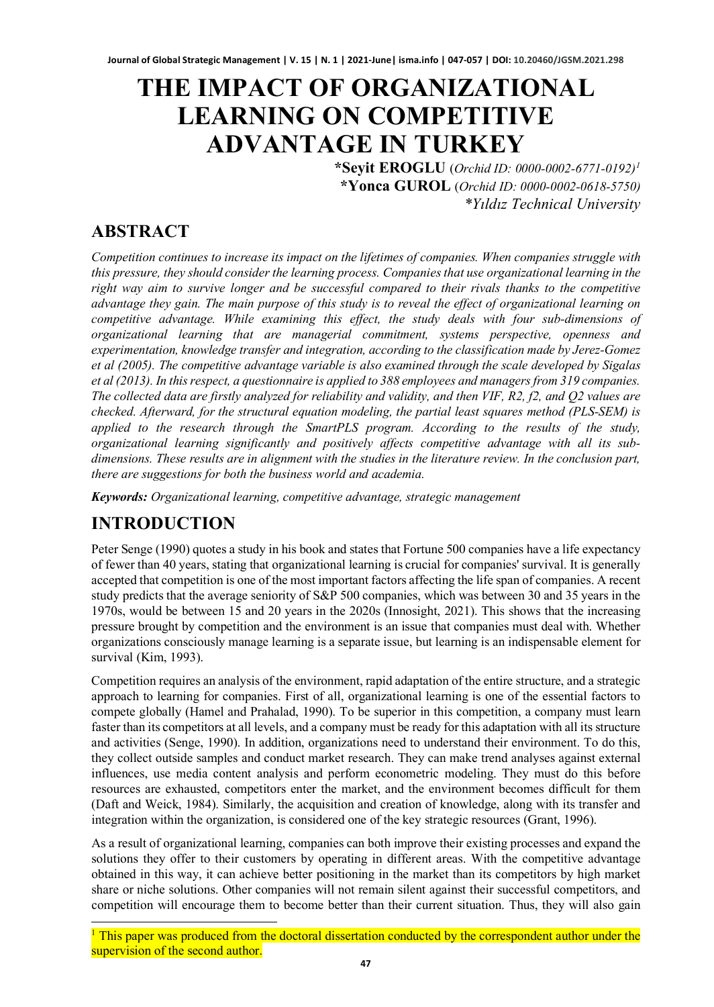# **THE IMPACT OF ORGANIZATIONAL LEARNING ON COMPETITIVE ADVANTAGE IN TURKEY**

**\*Seyit EROGLU** (*Orchid ID: 0000-0002-6771-0192)[1](#page-0-0)* **\*Yonca GUROL** (*Orchid ID: 0000-0002-0618-5750) \*Yıldız Technical University* 

### **ABSTRACT**

*Competition continues to increase its impact on the lifetimes of companies. When companies struggle with this pressure, they should consider the learning process. Companies that use organizational learning in the right way aim to survive longer and be successful compared to their rivals thanks to the competitive advantage they gain. The main purpose of this study is to reveal the effect of organizational learning on competitive advantage. While examining this effect, the study deals with four sub-dimensions of organizational learning that are managerial commitment, systems perspective, openness and experimentation, knowledge transfer and integration, according to the classification made by Jerez-Gomez et al (2005). The competitive advantage variable is also examined through the scale developed by Sigalas et al (2013). In this respect, a questionnaire is applied to 388 employees and managers from 319 companies. The collected data are firstly analyzed for reliability and validity, and then VIF, R2, f2, and Q2 values are checked. Afterward, for the structural equation modeling, the partial least squares method (PLS-SEM) is applied to the research through the SmartPLS program. According to the results of the study, organizational learning significantly and positively affects competitive advantage with all its subdimensions. These results are in alignment with the studies in the literature review. In the conclusion part, there are suggestions for both the business world and academia.*

*Keywords: Organizational learning, competitive advantage, strategic management*

### **INTRODUCTION**

Peter Senge (1990) quotes a study in his book and states that Fortune 500 companies have a life expectancy of fewer than 40 years, stating that organizational learning is crucial for companies' survival. It is generally accepted that competition is one of the most important factors affecting the life span of companies. A recent study predicts that the average seniority of S&P 500 companies, which was between 30 and 35 years in the 1970s, would be between 15 and 20 years in the 2020s (Innosight, 2021). This shows that the increasing pressure brought by competition and the environment is an issue that companies must deal with. Whether organizations consciously manage learning is a separate issue, but learning is an indispensable element for survival (Kim, 1993).

Competition requires an analysis of the environment, rapid adaptation of the entire structure, and a strategic approach to learning for companies. First of all, organizational learning is one of the essential factors to compete globally (Hamel and Prahalad, 1990). To be superior in this competition, a company must learn faster than its competitors at all levels, and a company must be ready for this adaptation with all its structure and activities (Senge, 1990). In addition, organizations need to understand their environment. To do this, they collect outside samples and conduct market research. They can make trend analyses against external influences, use media content analysis and perform econometric modeling. They must do this before resources are exhausted, competitors enter the market, and the environment becomes difficult for them (Daft and Weick, 1984). Similarly, the acquisition and creation of knowledge, along with its transfer and integration within the organization, is considered one of the key strategic resources (Grant, 1996).

As a result of organizational learning, companies can both improve their existing processes and expand the solutions they offer to their customers by operating in different areas. With the competitive advantage obtained in this way, it can achieve better positioning in the market than its competitors by high market share or niche solutions. Other companies will not remain silent against their successful competitors, and competition will encourage them to become better than their current situation. Thus, they will also gain

<span id="page-0-0"></span><sup>&</sup>lt;sup>1</sup> This paper was produced from the doctoral dissertation conducted by the correspondent author under the supervision of the second author.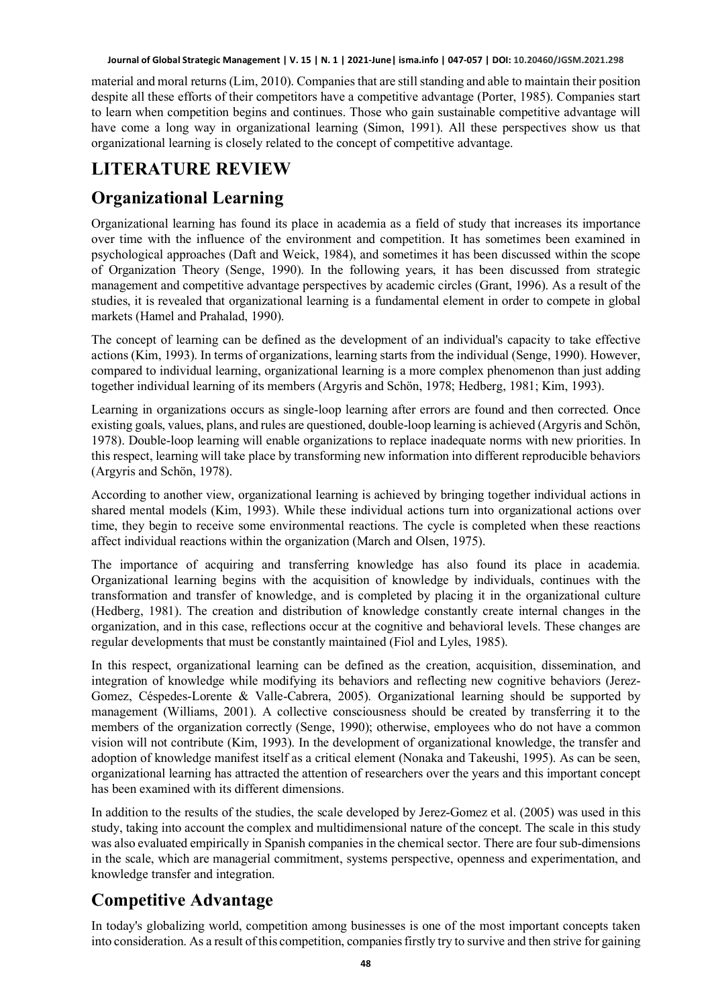material and moral returns (Lim, 2010). Companies that are still standing and able to maintain their position despite all these efforts of their competitors have a competitive advantage (Porter, 1985). Companies start to learn when competition begins and continues. Those who gain sustainable competitive advantage will have come a long way in organizational learning (Simon, 1991). All these perspectives show us that organizational learning is closely related to the concept of competitive advantage.

# **LITERATURE REVIEW**

# **Organizational Learning**

Organizational learning has found its place in academia as a field of study that increases its importance over time with the influence of the environment and competition. It has sometimes been examined in psychological approaches (Daft and Weick, 1984), and sometimes it has been discussed within the scope of Organization Theory (Senge, 1990). In the following years, it has been discussed from strategic management and competitive advantage perspectives by academic circles (Grant, 1996). As a result of the studies, it is revealed that organizational learning is a fundamental element in order to compete in global markets (Hamel and Prahalad, 1990).

The concept of learning can be defined as the development of an individual's capacity to take effective actions (Kim, 1993). In terms of organizations, learning starts from the individual (Senge, 1990). However, compared to individual learning, organizational learning is a more complex phenomenon than just adding together individual learning of its members (Argyris and Schön, 1978; Hedberg, 1981; Kim, 1993).

Learning in organizations occurs as single-loop learning after errors are found and then corrected. Once existing goals, values, plans, and rules are questioned, double-loop learning is achieved (Argyris and Schön, 1978). Double-loop learning will enable organizations to replace inadequate norms with new priorities. In this respect, learning will take place by transforming new information into different reproducible behaviors (Argyris and Schön, 1978).

According to another view, organizational learning is achieved by bringing together individual actions in shared mental models (Kim, 1993). While these individual actions turn into organizational actions over time, they begin to receive some environmental reactions. The cycle is completed when these reactions affect individual reactions within the organization (March and Olsen, 1975).

The importance of acquiring and transferring knowledge has also found its place in academia. Organizational learning begins with the acquisition of knowledge by individuals, continues with the transformation and transfer of knowledge, and is completed by placing it in the organizational culture (Hedberg, 1981). The creation and distribution of knowledge constantly create internal changes in the organization, and in this case, reflections occur at the cognitive and behavioral levels. These changes are regular developments that must be constantly maintained (Fiol and Lyles, 1985).

In this respect, organizational learning can be defined as the creation, acquisition, dissemination, and integration of knowledge while modifying its behaviors and reflecting new cognitive behaviors (Jerez-Gomez, Céspedes-Lorente & Valle-Cabrera, 2005). Organizational learning should be supported by management (Williams, 2001). A collective consciousness should be created by transferring it to the members of the organization correctly (Senge, 1990); otherwise, employees who do not have a common vision will not contribute (Kim, 1993). In the development of organizational knowledge, the transfer and adoption of knowledge manifest itself as a critical element (Nonaka and Takeushi, 1995). As can be seen, organizational learning has attracted the attention of researchers over the years and this important concept has been examined with its different dimensions.

In addition to the results of the studies, the scale developed by Jerez-Gomez et al. (2005) was used in this study, taking into account the complex and multidimensional nature of the concept. The scale in this study was also evaluated empirically in Spanish companies in the chemical sector. There are four sub-dimensions in the scale, which are managerial commitment, systems perspective, openness and experimentation, and knowledge transfer and integration.

# **Competitive Advantage**

In today's globalizing world, competition among businesses is one of the most important concepts taken into consideration. As a result of this competition, companies firstly try to survive and then strive for gaining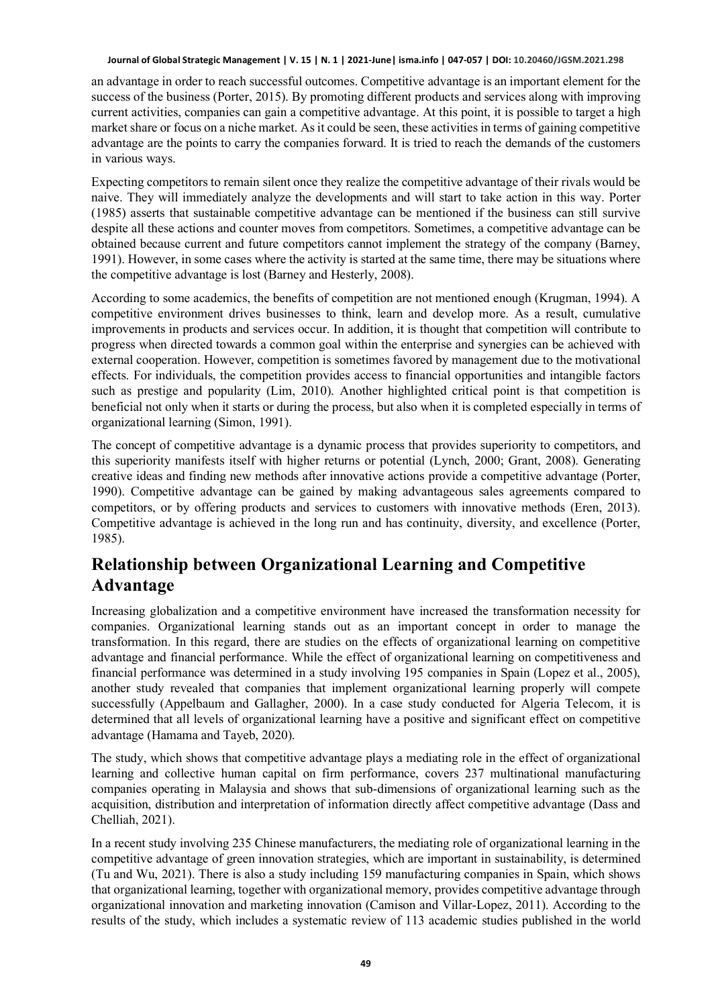an advantage in order to reach successful outcomes. Competitive advantage is an important element for the success of the business (Porter, 2015). By promoting different products and services along with improving current activities, companies can gain a competitive advantage. At this point, it is possible to target a high market share or focus on a niche market. As it could be seen, these activities in terms of gaining competitive advantage are the points to carry the companies forward. It is tried to reach the demands of the customers in various ways.

Expecting competitors to remain silent once they realize the competitive advantage of their rivals would be naive. They will immediately analyze the developments and will start to take action in this way. Porter (1985) asserts that sustainable competitive advantage can be mentioned if the business can still survive despite all these actions and counter moves from competitors. Sometimes, a competitive advantage can be obtained because current and future competitors cannot implement the strategy of the company (Barney, 1991). However, in some cases where the activity is started at the same time, there may be situations where the competitive advantage is lost (Barney and Hesterly, 2008).

According to some academics, the benefits of competition are not mentioned enough (Krugman, 1994). A competitive environment drives businesses to think, learn and develop more. As a result, cumulative improvements in products and services occur. In addition, it is thought that competition will contribute to progress when directed towards a common goal within the enterprise and synergies can be achieved with external cooperation. However, competition is sometimes favored by management due to the motivational effects. For individuals, the competition provides access to financial opportunities and intangible factors such as prestige and popularity (Lim, 2010). Another highlighted critical point is that competition is beneficial not only when it starts or during the process, but also when it is completed especially in terms of organizational learning (Simon, 1991).

The concept of competitive advantage is a dynamic process that provides superiority to competitors, and this superiority manifests itself with higher returns or potential (Lynch, 2000; Grant, 2008). Generating creative ideas and finding new methods after innovative actions provide a competitive advantage (Porter, 1990). Competitive advantage can be gained by making advantageous sales agreements compared to competitors, or by offering products and services to customers with innovative methods (Eren, 2013). Competitive advantage is achieved in the long run and has continuity, diversity, and excellence (Porter, 1985).

### **Relationship between Organizational Learning and Competitive Advantage**

Increasing globalization and a competitive environment have increased the transformation necessity for companies. Organizational learning stands out as an important concept in order to manage the transformation. In this regard, there are studies on the effects of organizational learning on competitive advantage and financial performance. While the effect of organizational learning on competitiveness and financial performance was determined in a study involving 195 companies in Spain (Lopez et al., 2005), another study revealed that companies that implement organizational learning properly will compete successfully (Appelbaum and Gallagher, 2000). In a case study conducted for Algeria Telecom, it is determined that all levels of organizational learning have a positive and significant effect on competitive advantage (Hamama and Tayeb, 2020).

The study, which shows that competitive advantage plays a mediating role in the effect of organizational learning and collective human capital on firm performance, covers 237 multinational manufacturing companies operating in Malaysia and shows that sub-dimensions of organizational learning such as the acquisition, distribution and interpretation of information directly affect competitive advantage (Dass and Chelliah, 2021).

In a recent study involving 235 Chinese manufacturers, the mediating role of organizational learning in the competitive advantage of green innovation strategies, which are important in sustainability, is determined (Tu and Wu, 2021). There is also a study including 159 manufacturing companies in Spain, which shows that organizational learning, together with organizational memory, provides competitive advantage through organizational innovation and marketing innovation (Camison and Villar-Lopez, 2011). According to the results of the study, which includes a systematic review of 113 academic studies published in the world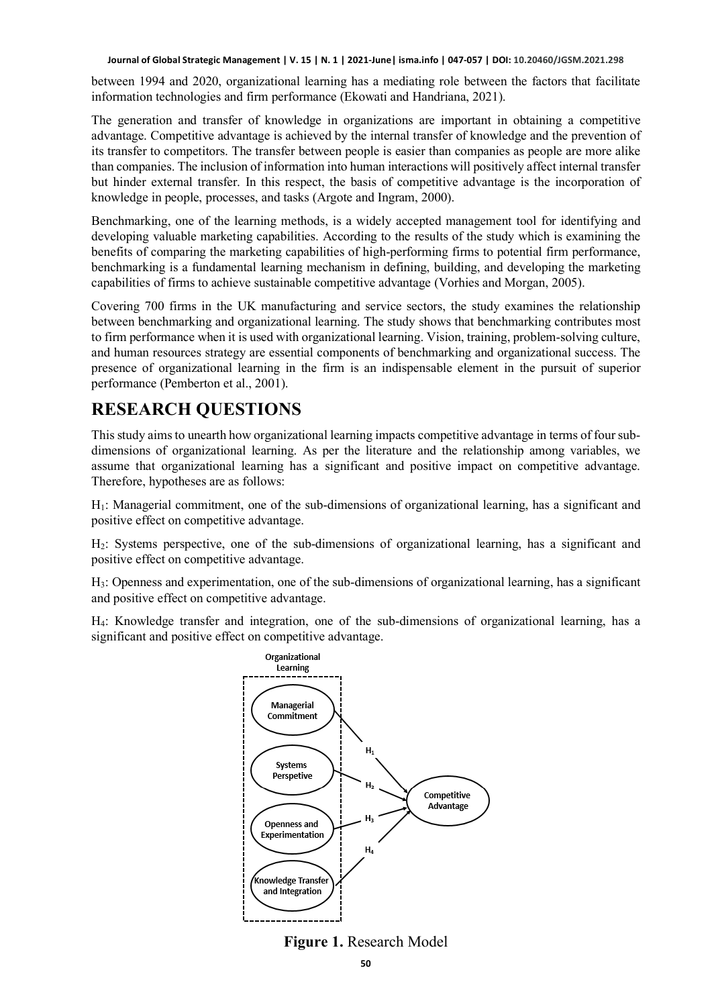between 1994 and 2020, organizational learning has a mediating role between the factors that facilitate information technologies and firm performance (Ekowati and Handriana, 2021).

The generation and transfer of knowledge in organizations are important in obtaining a competitive advantage. Competitive advantage is achieved by the internal transfer of knowledge and the prevention of its transfer to competitors. The transfer between people is easier than companies as people are more alike than companies. The inclusion of information into human interactions will positively affect internal transfer but hinder external transfer. In this respect, the basis of competitive advantage is the incorporation of knowledge in people, processes, and tasks (Argote and Ingram, 2000).

Benchmarking, one of the learning methods, is a widely accepted management tool for identifying and developing valuable marketing capabilities. According to the results of the study which is examining the benefits of comparing the marketing capabilities of high-performing firms to potential firm performance, benchmarking is a fundamental learning mechanism in defining, building, and developing the marketing capabilities of firms to achieve sustainable competitive advantage (Vorhies and Morgan, 2005).

Covering 700 firms in the UK manufacturing and service sectors, the study examines the relationship between benchmarking and organizational learning. The study shows that benchmarking contributes most to firm performance when it is used with organizational learning. Vision, training, problem-solving culture, and human resources strategy are essential components of benchmarking and organizational success. The presence of organizational learning in the firm is an indispensable element in the pursuit of superior performance (Pemberton et al., 2001).

#### **RESEARCH QUESTIONS**

This study aims to unearth how organizational learning impacts competitive advantage in terms of four subdimensions of organizational learning. As per the literature and the relationship among variables, we assume that organizational learning has a significant and positive impact on competitive advantage. Therefore, hypotheses are as follows:

H1: Managerial commitment, one of the sub-dimensions of organizational learning, has a significant and positive effect on competitive advantage.

H2: Systems perspective, one of the sub-dimensions of organizational learning, has a significant and positive effect on competitive advantage.

H3: Openness and experimentation, one of the sub-dimensions of organizational learning, has a significant and positive effect on competitive advantage.

H4: Knowledge transfer and integration, one of the sub-dimensions of organizational learning, has a significant and positive effect on competitive advantage.



**Figure 1.** Research Model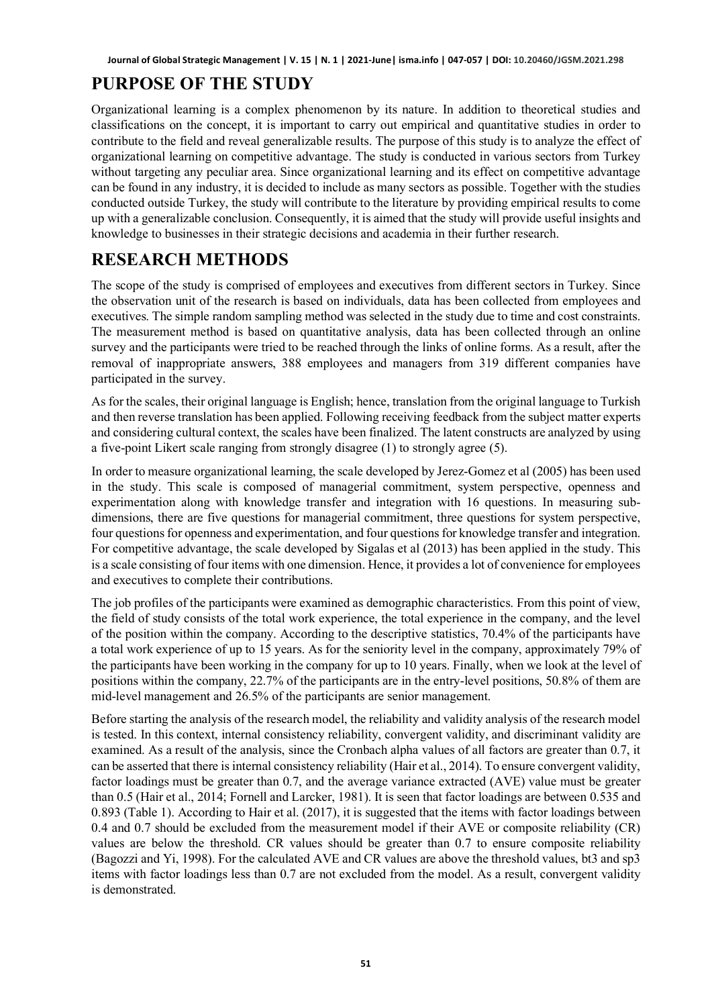# **PURPOSE OF THE STUDY**

Organizational learning is a complex phenomenon by its nature. In addition to theoretical studies and classifications on the concept, it is important to carry out empirical and quantitative studies in order to contribute to the field and reveal generalizable results. The purpose of this study is to analyze the effect of organizational learning on competitive advantage. The study is conducted in various sectors from Turkey without targeting any peculiar area. Since organizational learning and its effect on competitive advantage can be found in any industry, it is decided to include as many sectors as possible. Together with the studies conducted outside Turkey, the study will contribute to the literature by providing empirical results to come up with a generalizable conclusion. Consequently, it is aimed that the study will provide useful insights and knowledge to businesses in their strategic decisions and academia in their further research.

# **RESEARCH METHODS**

The scope of the study is comprised of employees and executives from different sectors in Turkey. Since the observation unit of the research is based on individuals, data has been collected from employees and executives. The simple random sampling method was selected in the study due to time and cost constraints. The measurement method is based on quantitative analysis, data has been collected through an online survey and the participants were tried to be reached through the links of online forms. As a result, after the removal of inappropriate answers, 388 employees and managers from 319 different companies have participated in the survey.

As for the scales, their original language is English; hence, translation from the original language to Turkish and then reverse translation has been applied. Following receiving feedback from the subject matter experts and considering cultural context, the scales have been finalized. The latent constructs are analyzed by using a five-point Likert scale ranging from strongly disagree (1) to strongly agree (5).

In order to measure organizational learning, the scale developed by Jerez-Gomez et al (2005) has been used in the study. This scale is composed of managerial commitment, system perspective, openness and experimentation along with knowledge transfer and integration with 16 questions. In measuring subdimensions, there are five questions for managerial commitment, three questions for system perspective, four questions for openness and experimentation, and four questions for knowledge transfer and integration. For competitive advantage, the scale developed by Sigalas et al (2013) has been applied in the study. This is a scale consisting of four items with one dimension. Hence, it provides a lot of convenience for employees and executives to complete their contributions.

The job profiles of the participants were examined as demographic characteristics. From this point of view, the field of study consists of the total work experience, the total experience in the company, and the level of the position within the company. According to the descriptive statistics, 70.4% of the participants have a total work experience of up to 15 years. As for the seniority level in the company, approximately 79% of the participants have been working in the company for up to 10 years. Finally, when we look at the level of positions within the company, 22.7% of the participants are in the entry-level positions, 50.8% of them are mid-level management and 26.5% of the participants are senior management.

Before starting the analysis of the research model, the reliability and validity analysis of the research model is tested. In this context, internal consistency reliability, convergent validity, and discriminant validity are examined. As a result of the analysis, since the Cronbach alpha values of all factors are greater than 0.7, it can be asserted that there is internal consistency reliability (Hair et al., 2014). To ensure convergent validity, factor loadings must be greater than 0.7, and the average variance extracted (AVE) value must be greater than 0.5 (Hair et al., 2014; Fornell and Larcker, 1981). It is seen that factor loadings are between 0.535 and 0.893 (Table 1). According to Hair et al. (2017), it is suggested that the items with factor loadings between 0.4 and 0.7 should be excluded from the measurement model if their AVE or composite reliability (CR) values are below the threshold. CR values should be greater than 0.7 to ensure composite reliability (Bagozzi and Yi, 1998). For the calculated AVE and CR values are above the threshold values, bt3 and sp3 items with factor loadings less than 0.7 are not excluded from the model. As a result, convergent validity is demonstrated.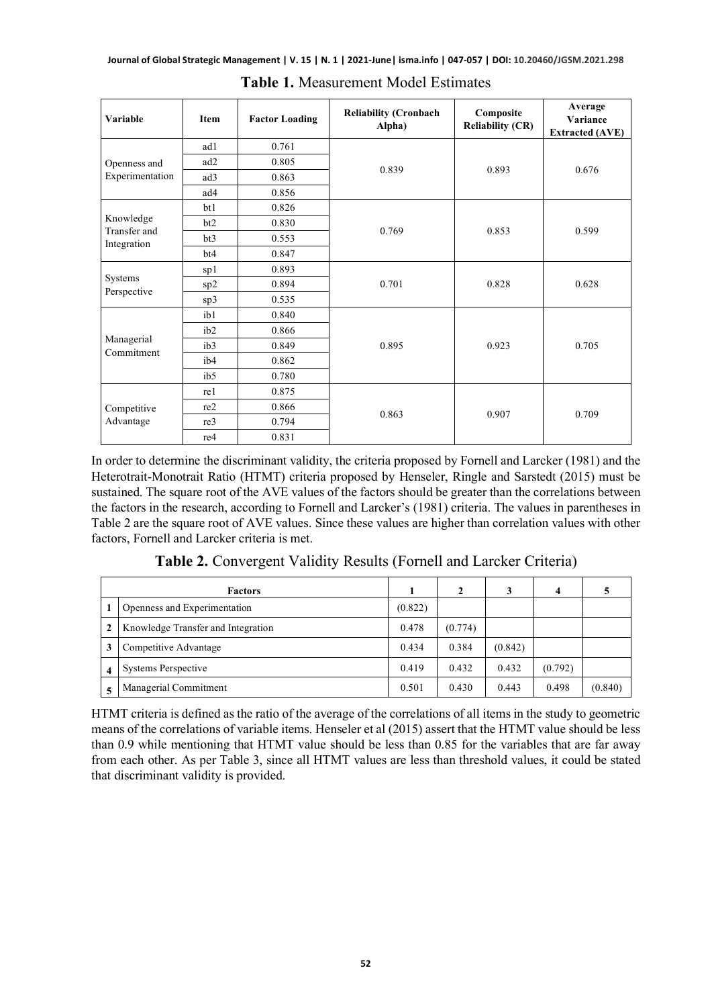| Variable                  | <b>Item</b>     | <b>Factor Loading</b> | <b>Reliability (Cronbach</b><br>Alpha) | Composite<br><b>Reliability (CR)</b> | Average<br>Variance<br><b>Extracted (AVE)</b> |  |
|---------------------------|-----------------|-----------------------|----------------------------------------|--------------------------------------|-----------------------------------------------|--|
|                           | ad1             | 0.761                 |                                        |                                      |                                               |  |
| Openness and              | ad2             | 0.805                 | 0.839                                  | 0.893                                | 0.676                                         |  |
| Experimentation           | ad3             | 0.863                 |                                        |                                      |                                               |  |
|                           | ad4             | 0.856                 |                                        |                                      |                                               |  |
|                           | bt1             | 0.826                 |                                        |                                      |                                               |  |
| Knowledge<br>Transfer and | bt2             | 0.830                 | 0.769                                  | 0.853                                | 0.599                                         |  |
| Integration               | bt3             | 0.553                 |                                        |                                      |                                               |  |
|                           | bt4             | 0.847                 |                                        |                                      |                                               |  |
|                           | sp1             | 0.893                 |                                        |                                      |                                               |  |
| Systems                   | sp2             | 0.894                 | 0.701                                  | 0.828                                | 0.628                                         |  |
| Perspective               | sp3             | 0.535                 |                                        |                                      |                                               |  |
|                           | ib1             | 0.840                 |                                        |                                      |                                               |  |
|                           | ib2             | 0.866                 |                                        |                                      | 0.705                                         |  |
| Managerial<br>Commitment  | ib3             | 0.849                 | 0.895                                  | 0.923                                |                                               |  |
|                           | ib <sub>4</sub> | 0.862                 |                                        |                                      |                                               |  |
|                           | ib5             | 0.780                 |                                        |                                      |                                               |  |
|                           | re1             | 0.875                 |                                        |                                      |                                               |  |
| Competitive               | re2             | 0.866                 |                                        |                                      |                                               |  |
| Advantage                 | re3             | 0.794                 | 0.863                                  | 0.907                                | 0.709                                         |  |
|                           | re4             | 0.831                 |                                        |                                      |                                               |  |

**Table 1.** Measurement Model Estimates

In order to determine the discriminant validity, the criteria proposed by Fornell and Larcker (1981) and the Heterotrait-Monotrait Ratio (HTMT) criteria proposed by Henseler, Ringle and Sarstedt (2015) must be sustained. The square root of the AVE values of the factors should be greater than the correlations between the factors in the research, according to Fornell and Larcker's (1981) criteria. The values in parentheses in Table 2 are the square root of AVE values. Since these values are higher than correlation values with other factors, Fornell and Larcker criteria is met.

**Table 2.** Convergent Validity Results (Fornell and Larcker Criteria)

|                         | <b>Factors</b>                     |         |         |         | 4       |         |
|-------------------------|------------------------------------|---------|---------|---------|---------|---------|
|                         | Openness and Experimentation       | (0.822) |         |         |         |         |
| $\mathbf{2}$            | Knowledge Transfer and Integration | 0.478   | (0.774) |         |         |         |
| 3                       | Competitive Advantage              | 0.434   | 0.384   | (0.842) |         |         |
| $\overline{\mathbf{4}}$ | Systems Perspective                | 0.419   | 0.432   | 0.432   | (0.792) |         |
| 5                       | Managerial Commitment              | 0.501   | 0.430   | 0.443   | 0.498   | (0.840) |

HTMT criteria is defined as the ratio of the average of the correlations of all items in the study to geometric means of the correlations of variable items. Henseler et al (2015) assert that the HTMT value should be less than 0.9 while mentioning that HTMT value should be less than 0.85 for the variables that are far away from each other. As per Table 3, since all HTMT values are less than threshold values, it could be stated that discriminant validity is provided.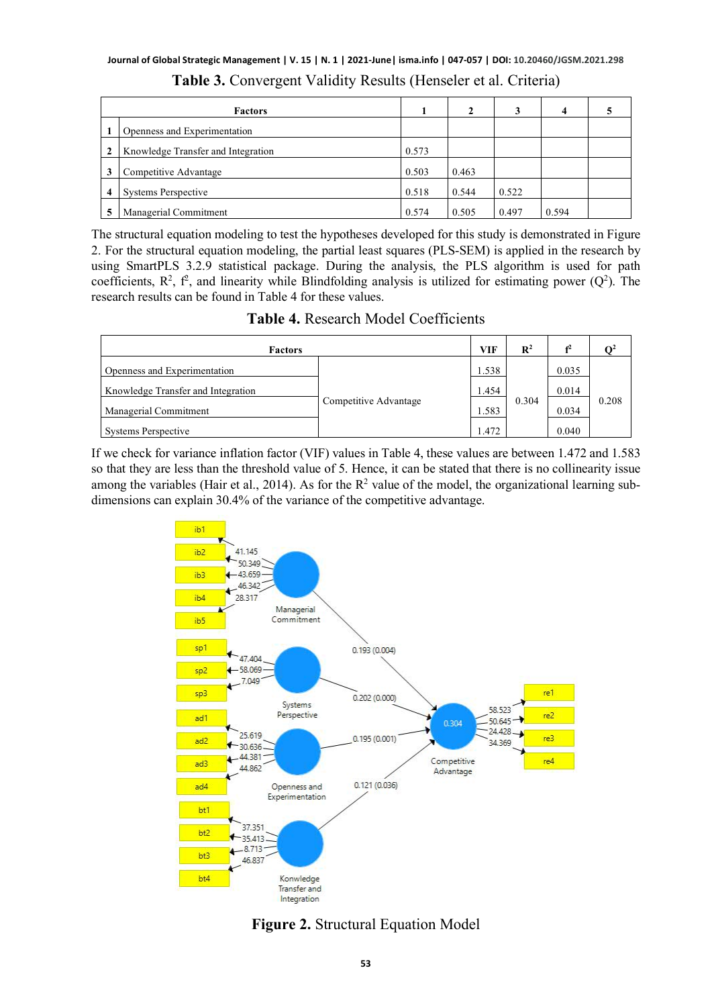|              | <b>Factors</b>                     |       | 2     |       | 4     |  |
|--------------|------------------------------------|-------|-------|-------|-------|--|
|              | Openness and Experimentation       |       |       |       |       |  |
| $\mathbf{2}$ | Knowledge Transfer and Integration | 0.573 |       |       |       |  |
| 3            | Competitive Advantage              | 0.503 | 0.463 |       |       |  |
| 4            | Systems Perspective                | 0.518 | 0.544 | 0.522 |       |  |
|              | Managerial Commitment              | 0.574 | 0.505 | 0.497 | 0.594 |  |

| Table 3. Convergent Validity Results (Henseler et al. Criteria) |
|-----------------------------------------------------------------|
|-----------------------------------------------------------------|

The structural equation modeling to test the hypotheses developed for this study is demonstrated in Figure 2. For the structural equation modeling, the partial least squares (PLS-SEM) is applied in the research by using SmartPLS 3.2.9 statistical package. During the analysis, the PLS algorithm is used for path coefficients,  $R^2$ ,  $f^2$ , and linearity while Blindfolding analysis is utilized for estimating power ( $Q^2$ ). The research results can be found in Table 4 for these values.

**Table 4.** Research Model Coefficients

| <b>Factors</b>                     |                       |       | $\mathbb{R}^2$ | f <sup>2</sup> | $\Omega^2$ |
|------------------------------------|-----------------------|-------|----------------|----------------|------------|
| Openness and Experimentation       |                       | 1.538 |                | 0.035          |            |
| Knowledge Transfer and Integration |                       | 1.454 | 0.304          | 0.014          | 0.208      |
| Managerial Commitment              | Competitive Advantage | 1.583 |                | 0.034          |            |
| Systems Perspective                |                       | 1.472 |                | 0.040          |            |

If we check for variance inflation factor (VIF) values in Table 4, these values are between 1.472 and 1.583 so that they are less than the threshold value of 5. Hence, it can be stated that there is no collinearity issue among the variables (Hair et al., 2014). As for the  $R^2$  value of the model, the organizational learning subdimensions can explain 30.4% of the variance of the competitive advantage.



**Figure 2.** Structural Equation Model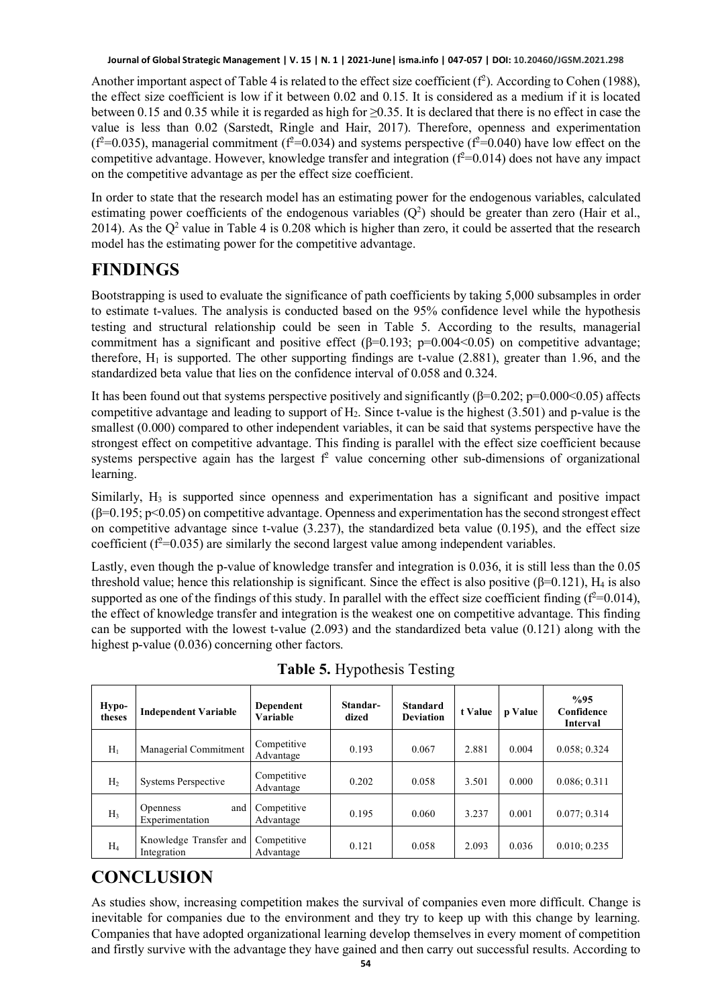Another important aspect of Table 4 is related to the effect size coefficient  $(f^2)$ . According to Cohen (1988), the effect size coefficient is low if it between 0.02 and 0.15. It is considered as a medium if it is located between 0.15 and 0.35 while it is regarded as high for ≥0.35. It is declared that there is no effect in case the value is less than 0.02 (Sarstedt, Ringle and Hair, 2017). Therefore, openness and experimentation  $(f^2=0.035)$ , managerial commitment  $(f^2=0.034)$  and systems perspective  $(f^2=0.040)$  have low effect on the competitive advantage. However, knowledge transfer and integration ( $f^2$ =0.014) does not have any impact on the competitive advantage as per the effect size coefficient.

In order to state that the research model has an estimating power for the endogenous variables, calculated estimating power coefficients of the endogenous variables  $(Q^2)$  should be greater than zero (Hair et al., 2014). As the  $Q^2$  value in Table 4 is 0.208 which is higher than zero, it could be asserted that the research model has the estimating power for the competitive advantage.

# **FINDINGS**

Bootstrapping is used to evaluate the significance of path coefficients by taking 5,000 subsamples in order to estimate t-values. The analysis is conducted based on the 95% confidence level while the hypothesis testing and structural relationship could be seen in Table 5. According to the results, managerial commitment has a significant and positive effect  $(\beta=0.193; \text{ p}=0.004<0.05)$  on competitive advantage; therefore,  $H_1$  is supported. The other supporting findings are t-value (2.881), greater than 1.96, and the standardized beta value that lies on the confidence interval of 0.058 and 0.324.

It has been found out that systems perspective positively and significantly (β=0.202; p=0.000<0.05) affects competitive advantage and leading to support of  $H_2$ . Since t-value is the highest (3.501) and p-value is the smallest (0.000) compared to other independent variables, it can be said that systems perspective have the strongest effect on competitive advantage. This finding is parallel with the effect size coefficient because systems perspective again has the largest  $f<sup>2</sup>$  value concerning other sub-dimensions of organizational learning.

Similarly,  $H_3$  is supported since openness and experimentation has a significant and positive impact  $(\beta=0.195; p<0.05)$  on competitive advantage. Openness and experimentation has the second strongest effect on competitive advantage since t-value  $(3.237)$ , the standardized beta value  $(0.195)$ , and the effect size coefficient ( $f^2$ =0.035) are similarly the second largest value among independent variables.

Lastly, even though the p-value of knowledge transfer and integration is 0.036, it is still less than the 0.05 threshold value; hence this relationship is significant. Since the effect is also positive ( $\beta$ =0.121), H<sub>4</sub> is also supported as one of the findings of this study. In parallel with the effect size coefficient finding ( $f^2$ =0.014), the effect of knowledge transfer and integration is the weakest one on competitive advantage. This finding can be supported with the lowest t-value (2.093) and the standardized beta value (0.121) along with the highest p-value (0.036) concerning other factors.

| Hypo-<br>theses | <b>Independent Variable</b>               | Dependent<br>Variable    | Standar-<br>dized | <b>Standard</b><br><b>Deviation</b> | t Value | p Value | %95<br>Confidence<br>Interval |
|-----------------|-------------------------------------------|--------------------------|-------------------|-------------------------------------|---------|---------|-------------------------------|
| H <sub>1</sub>  | Managerial Commitment                     | Competitive<br>Advantage | 0.193             | 0.067                               | 2.881   | 0.004   | 0.058; 0.324                  |
| H <sub>2</sub>  | <b>Systems Perspective</b>                | Competitive<br>Advantage | 0.202             | 0.058                               | 3.501   | 0.000   | 0.086; 0.311                  |
| H <sub>3</sub>  | and<br><b>Openness</b><br>Experimentation | Competitive<br>Advantage | 0.195             | 0.060                               | 3.237   | 0.001   | 0.077:0.314                   |
| $H_4$           | Knowledge Transfer and<br>Integration     | Competitive<br>Advantage | 0.121             | 0.058                               | 2.093   | 0.036   | 0.010; 0.235                  |

**Table 5.** Hypothesis Testing

# **CONCLUSION**

As studies show, increasing competition makes the survival of companies even more difficult. Change is inevitable for companies due to the environment and they try to keep up with this change by learning. Companies that have adopted organizational learning develop themselves in every moment of competition and firstly survive with the advantage they have gained and then carry out successful results. According to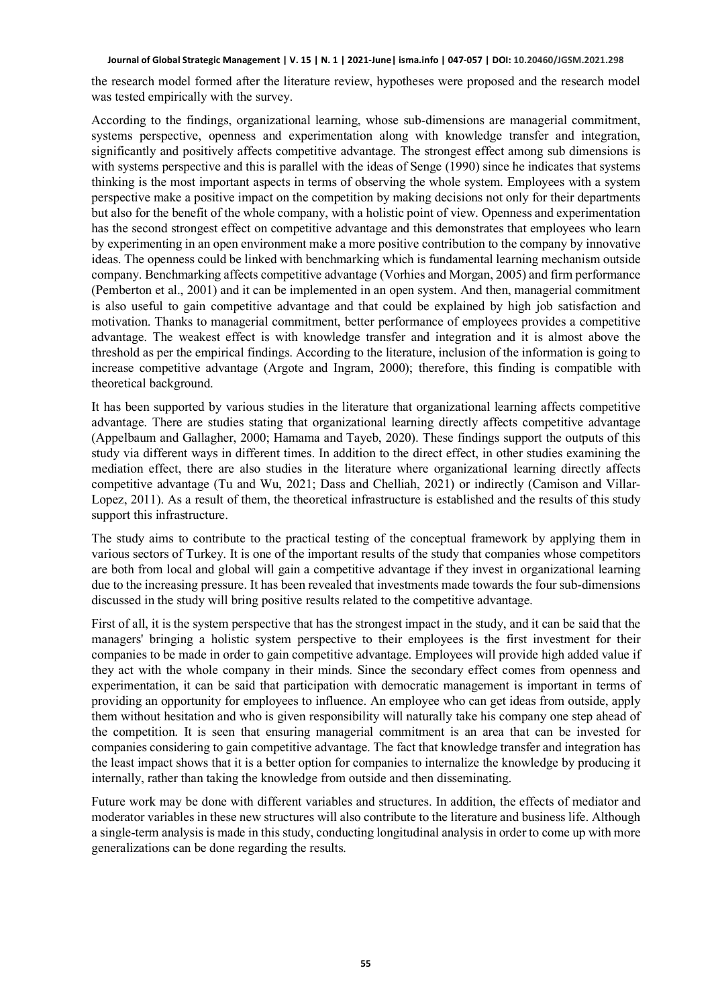the research model formed after the literature review, hypotheses were proposed and the research model was tested empirically with the survey.

According to the findings, organizational learning, whose sub-dimensions are managerial commitment, systems perspective, openness and experimentation along with knowledge transfer and integration, significantly and positively affects competitive advantage. The strongest effect among sub dimensions is with systems perspective and this is parallel with the ideas of Senge (1990) since he indicates that systems thinking is the most important aspects in terms of observing the whole system. Employees with a system perspective make a positive impact on the competition by making decisions not only for their departments but also for the benefit of the whole company, with a holistic point of view. Openness and experimentation has the second strongest effect on competitive advantage and this demonstrates that employees who learn by experimenting in an open environment make a more positive contribution to the company by innovative ideas. The openness could be linked with benchmarking which is fundamental learning mechanism outside company. Benchmarking affects competitive advantage (Vorhies and Morgan, 2005) and firm performance (Pemberton et al., 2001) and it can be implemented in an open system. And then, managerial commitment is also useful to gain competitive advantage and that could be explained by high job satisfaction and motivation. Thanks to managerial commitment, better performance of employees provides a competitive advantage. The weakest effect is with knowledge transfer and integration and it is almost above the threshold as per the empirical findings. According to the literature, inclusion of the information is going to increase competitive advantage (Argote and Ingram, 2000); therefore, this finding is compatible with theoretical background.

It has been supported by various studies in the literature that organizational learning affects competitive advantage. There are studies stating that organizational learning directly affects competitive advantage (Appelbaum and Gallagher, 2000; Hamama and Tayeb, 2020). These findings support the outputs of this study via different ways in different times. In addition to the direct effect, in other studies examining the mediation effect, there are also studies in the literature where organizational learning directly affects competitive advantage (Tu and Wu, 2021; Dass and Chelliah, 2021) or indirectly (Camison and Villar-Lopez, 2011). As a result of them, the theoretical infrastructure is established and the results of this study support this infrastructure.

The study aims to contribute to the practical testing of the conceptual framework by applying them in various sectors of Turkey. It is one of the important results of the study that companies whose competitors are both from local and global will gain a competitive advantage if they invest in organizational learning due to the increasing pressure. It has been revealed that investments made towards the four sub-dimensions discussed in the study will bring positive results related to the competitive advantage.

First of all, it is the system perspective that has the strongest impact in the study, and it can be said that the managers' bringing a holistic system perspective to their employees is the first investment for their companies to be made in order to gain competitive advantage. Employees will provide high added value if they act with the whole company in their minds. Since the secondary effect comes from openness and experimentation, it can be said that participation with democratic management is important in terms of providing an opportunity for employees to influence. An employee who can get ideas from outside, apply them without hesitation and who is given responsibility will naturally take his company one step ahead of the competition. It is seen that ensuring managerial commitment is an area that can be invested for companies considering to gain competitive advantage. The fact that knowledge transfer and integration has the least impact shows that it is a better option for companies to internalize the knowledge by producing it internally, rather than taking the knowledge from outside and then disseminating.

Future work may be done with different variables and structures. In addition, the effects of mediator and moderator variables in these new structures will also contribute to the literature and business life. Although a single-term analysis is made in this study, conducting longitudinal analysis in order to come up with more generalizations can be done regarding the results.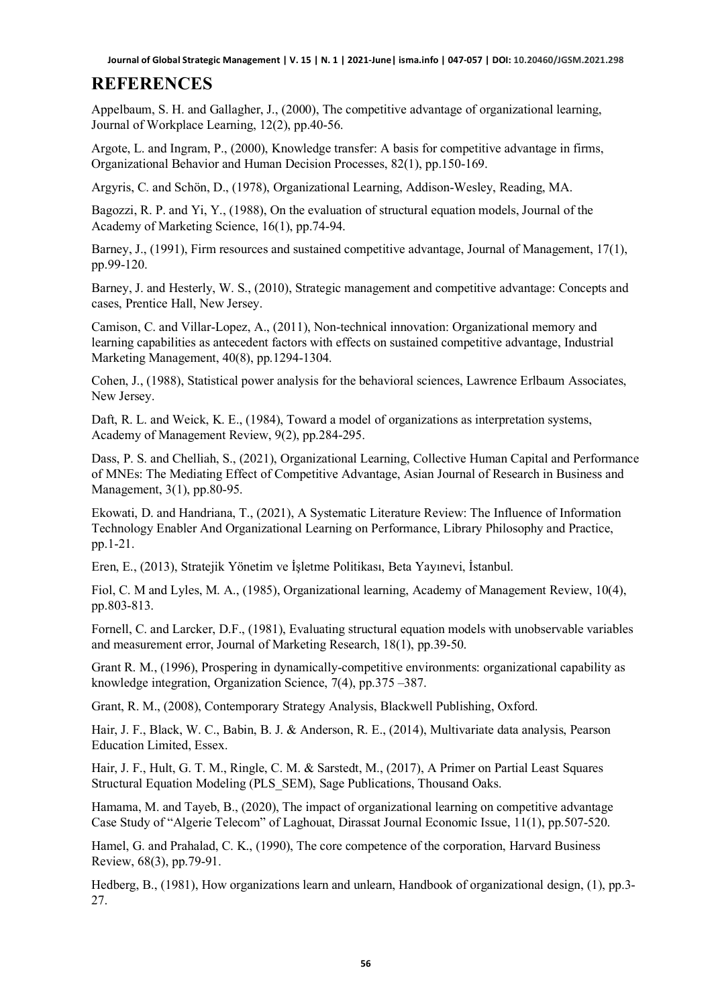#### **REFERENCES**

Appelbaum, S. H. and Gallagher, J., (2000), The competitive advantage of organizational learning, Journal of Workplace Learning, 12(2), pp.40-56.

Argote, L. and Ingram, P., (2000), Knowledge transfer: A basis for competitive advantage in firms, Organizational Behavior and Human Decision Processes, 82(1), pp.150-169.

Argyris, C. and Schön, D., (1978), Organizational Learning, Addison-Wesley, Reading, MA.

Bagozzi, R. P. and Yi, Y., (1988), On the evaluation of structural equation models, Journal of the Academy of Marketing Science, 16(1), pp.74-94.

Barney, J., (1991), Firm resources and sustained competitive advantage, Journal of Management, 17(1), pp.99-120.

Barney, J. and Hesterly, W. S., (2010), Strategic management and competitive advantage: Concepts and cases, Prentice Hall, New Jersey.

Camison, C. and Villar-Lopez, A., (2011), Non-technical innovation: Organizational memory and learning capabilities as antecedent factors with effects on sustained competitive advantage, Industrial Marketing Management, 40(8), pp.1294-1304.

Cohen, J., (1988), Statistical power analysis for the behavioral sciences, Lawrence Erlbaum Associates, New Jersey.

Daft, R. L. and Weick, K. E., (1984), Toward a model of organizations as interpretation systems, Academy of Management Review, 9(2), pp.284-295.

Dass, P. S. and Chelliah, S., (2021), Organizational Learning, Collective Human Capital and Performance of MNEs: The Mediating Effect of Competitive Advantage, Asian Journal of Research in Business and Management, 3(1), pp.80-95.

Ekowati, D. and Handriana, T., (2021), A Systematic Literature Review: The Influence of Information Technology Enabler And Organizational Learning on Performance, Library Philosophy and Practice, pp.1-21.

Eren, E., (2013), Stratejik Yönetim ve İşletme Politikası, Beta Yayınevi, İstanbul.

Fiol, C. M and Lyles, M. A., (1985), Organizational learning, Academy of Management Review, 10(4), pp.803-813.

Fornell, C. and Larcker, D.F., (1981), Evaluating structural equation models with unobservable variables and measurement error, Journal of Marketing Research, 18(1), pp.39-50.

Grant R. M., (1996), Prospering in dynamically-competitive environments: organizational capability as knowledge integration, Organization Science, 7(4), pp.375 –387.

Grant, R. M., (2008), Contemporary Strategy Analysis, Blackwell Publishing, Oxford.

Hair, J. F., Black, W. C., Babin, B. J. & Anderson, R. E., (2014), Multivariate data analysis, Pearson Education Limited, Essex.

Hair, J. F., Hult, G. T. M., Ringle, C. M. & Sarstedt, M., (2017), A Primer on Partial Least Squares Structural Equation Modeling (PLS\_SEM), Sage Publications, Thousand Oaks.

Hamama, M. and Tayeb, B., (2020), The impact of organizational learning on competitive advantage Case Study of "Algerie Telecom" of Laghouat, Dirassat Journal Economic Issue, 11(1), pp.507-520.

Hamel, G. and Prahalad, C. K., (1990), The core competence of the corporation, Harvard Business Review, 68(3), pp.79-91.

Hedberg, B., (1981), How organizations learn and unlearn, Handbook of organizational design, (1), pp.3- 27.